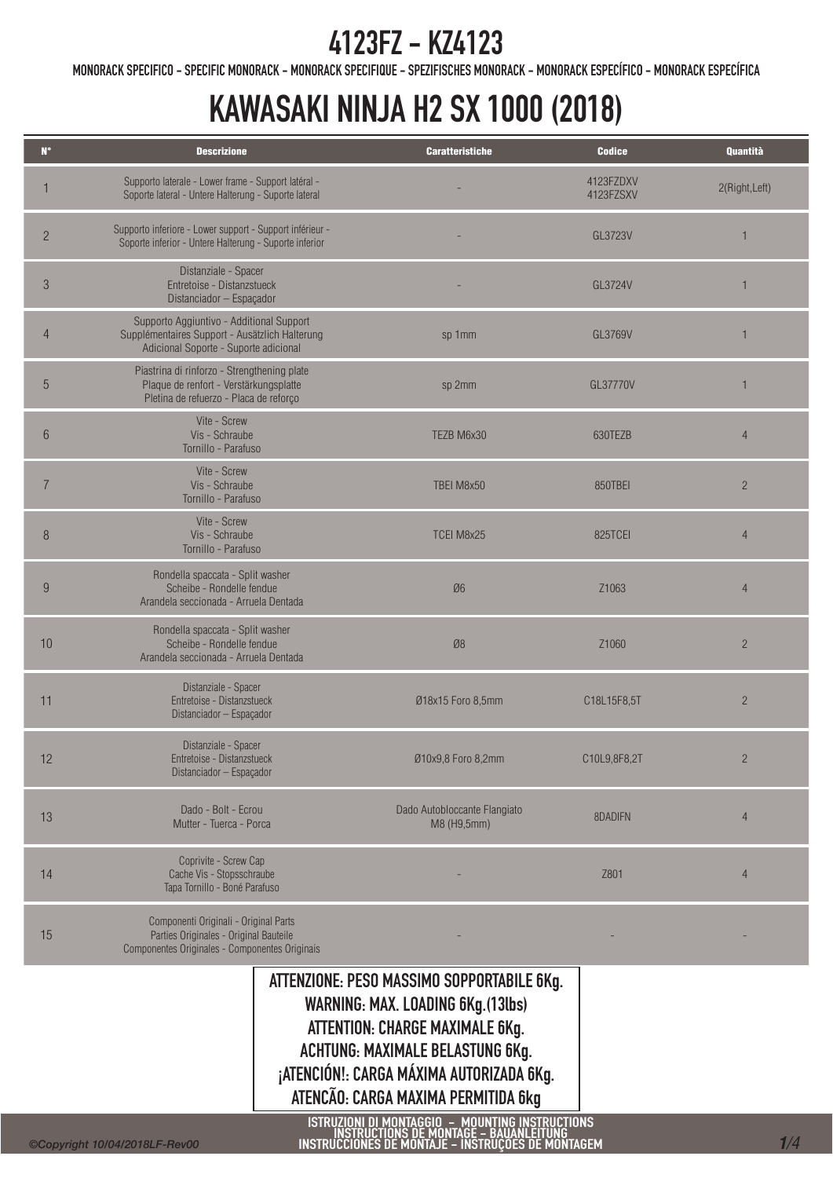MONORACK SPECIFICO - SPECIFIC MONORACK - MONORACK SPECIFIQUE - SPEZIFISCHES MONORACK - MONORACK ESPECÍFICO - MONORACK ESPECÍFICA

# KAWASAKI NINJA H2 SX 1000 (2018)

| $\mathbf{N}^{\circ}$ | <b>Descrizione</b>                                                                                                                  | <b>Caratteristiche</b>                                                                                                                               | <b>Codice</b>          | Quantità       |
|----------------------|-------------------------------------------------------------------------------------------------------------------------------------|------------------------------------------------------------------------------------------------------------------------------------------------------|------------------------|----------------|
|                      | Supporto laterale - Lower frame - Support latéral -<br>Soporte lateral - Untere Halterung - Suporte lateral                         |                                                                                                                                                      | 4123FZDXV<br>4123FZSXV | 2(Right, Left) |
| $\overline{c}$       | Supporto inferiore - Lower support - Support inférieur -<br>Soporte inferior - Untere Halterung - Suporte inferior                  |                                                                                                                                                      | GL3723V                |                |
| 3                    | Distanziale - Spacer<br>Entretoise - Distanzstueck<br>Distanciador - Espaçador                                                      |                                                                                                                                                      | GL3724V                |                |
| 4                    | Supporto Aggiuntivo - Additional Support<br>Supplémentaires Support - Ausätzlich Halterung<br>Adicional Soporte - Suporte adicional | sp 1mm                                                                                                                                               | GL3769V                |                |
| 5                    | Piastrina di rinforzo - Strengthening plate<br>Plaque de renfort - Verstärkungsplatte<br>Pletina de refuerzo - Placa de reforço     | sp 2mm                                                                                                                                               | GL37770V               |                |
| $6\phantom{.}6$      | Vite - Screw<br>Vis - Schraube<br>Tornillo - Parafuso                                                                               | TEZB M6x30                                                                                                                                           | 630TEZB                | $\overline{4}$ |
| $\overline{7}$       | Vite - Screw<br>Vis - Schraube<br>Tornillo - Parafuso                                                                               | TBEI M8x50                                                                                                                                           | 850TBEI                | $\overline{2}$ |
| $\, 8$               | Vite - Screw<br>Vis - Schraube<br>Tornillo - Parafuso                                                                               | TCEI M8x25                                                                                                                                           | 825TCEI                | $\overline{4}$ |
| 9                    | Rondella spaccata - Split washer<br>Scheibe - Rondelle fendue<br>Arandela seccionada - Arruela Dentada                              | Ø6                                                                                                                                                   | Z1063                  | $\overline{4}$ |
| 10                   | Rondella spaccata - Split washer<br>Scheibe - Rondelle fendue<br>Arandela seccionada - Arruela Dentada                              | Ø8                                                                                                                                                   | Z1060                  | $\overline{2}$ |
| 11                   | Distanziale - Spacer<br>Entretoise - Distanzstueck<br>Distanciador - Espaçador                                                      | Ø18x15 Foro 8,5mm                                                                                                                                    | C18L15F8,5T            | $\overline{2}$ |
| 12                   | Distanziale - Spacer<br>Entretoise - Distanzstueck<br>Distanciador - Espaçador                                                      | Ø10x9,8 Foro 8,2mm                                                                                                                                   | C10L9,8F8,2T           | $\overline{2}$ |
| 13                   | Dado - Bolt - Ecrou<br>Mutter - Tuerca - Porca                                                                                      | Dado Autobloccante Flangiato<br>M8 (H9,5mm)                                                                                                          | 8DADIFN                | $\overline{4}$ |
| 14                   | Coprivite - Screw Cap<br>Cache Vis - Stopsschraube<br>Tapa Tornillo - Boné Parafuso                                                 |                                                                                                                                                      | Z801                   | $\overline{4}$ |
| 15                   | Componenti Originali - Original Parts<br>Parties Originales - Original Bauteile<br>Componentes Originales - Componentes Originais   |                                                                                                                                                      |                        |                |
|                      |                                                                                                                                     | ATTENZIONE: PESO MASSIMO SOPPORTABILE 6Kg.<br>WARNING: MAX. LOADING 6Kg.(13lbs)<br>ATTENTION: CHARGE MAXIMALE 6Kg.<br>LOUTING MAVIMALE BELACTING CV. |                        |                |

ACHTUNG: MAXIMALE BELASTUNG 6Kg. ¡ATENCIÓN!: CARGA MÁXIMA AUTORIZADA 6Kg. ATENCÃO: CARGA MAXIMA PERMITIDA 6kg

ISTRUZIONI DI MONTAGGIO – MOUNTING INSTRUCTIONS<br>INSTRUCTIONS DE MONTAGE – BAUANLEITUNG<br>INSTRUCCIONES DE MONTAJE – INSTRUÇÕES DE MONTAGEM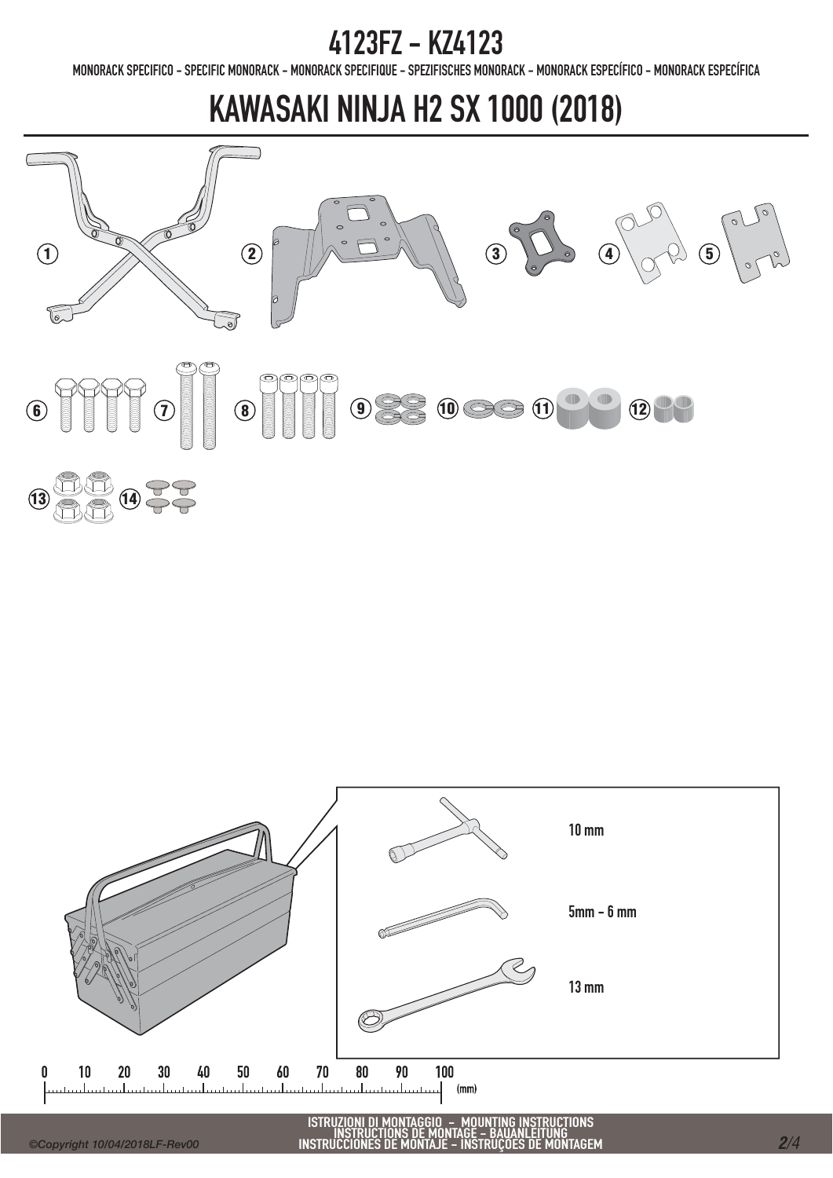MONORACK SPECIFICO - SPECIFIC MONORACK - MONORACK SPECIFIQUE - SPEZIFISCHES MONORACK - MONORACK ESPECÍFICO - MONORACK ESPECÍFICA

## KAWASAKI NINJA H2 SX 1000 (2018)



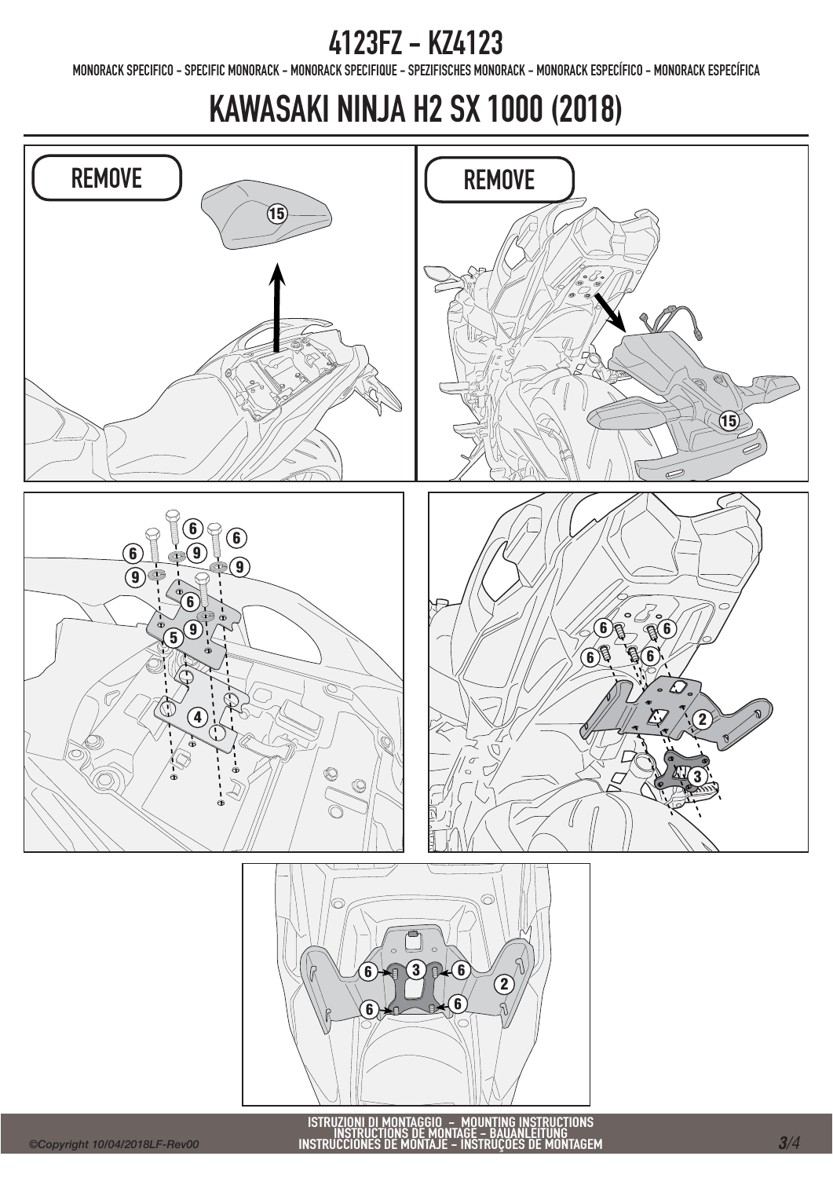MONORACK SPECIFICO - SPECIFIC MONORACK - MONORACK SPECIFIQUE - SPEZIFISCHES MONORACK - MONORACK ESPECÍFICO - MONORACK ESPECÍFICA

# KAWASAKI NINJA H2 SX 1000 (2018)